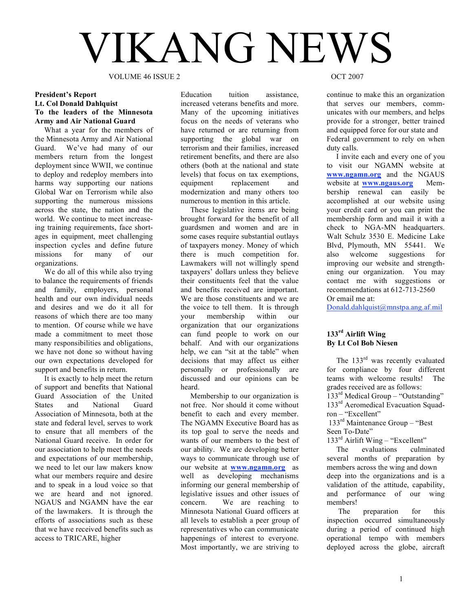# VIKANG NEWS

VOLUME 46 ISSUE 2 OCT 2007

# **President's Report Lt. Col Donald Dahlquist To the leaders of the Minnesota Army and Air National Guard**

What a year for the members of the Minnesota Army and Air National Guard. We've had many of our members return from the longest deployment since WWII, we continue to deploy and redeploy members into harms way supporting our nations Global War on Terrorism while also supporting the numerous missions across the state, the nation and the world. We continue to meet increaseing training requirements, face shortages in equipment, meet challenging inspection cycles and define future missions for many of our organizations.

We do all of this while also trying to balance the requirements of friends and family, employers, personal health and our own individual needs and desires and we do it all for reasons of which there are too many to mention. Of course while we have made a commitment to meet those many responsibilities and obligations, we have not done so without having our own expectations developed for support and benefits in return.

It is exactly to help meet the return of support and benefits that National Guard Association of the United States and National Guard Association of Minnesota, both at the state and federal level, serves to work to ensure that all members of the National Guard receive. In order for our association to help meet the needs and expectations of our membership, we need to let our law makers know what our members require and desire and to speak in a loud voice so that we are heard and not ignored. NGAUS and NGAMN have the ear of the lawmakers. It is through the efforts of associations such as these that we have received benefits such as access to TRICARE, higher

Education tuition assistance, increased veterans benefits and more. Many of the upcoming initiatives focus on the needs of veterans who have returned or are returning from supporting the global war on terrorism and their families, increased retirement benefits, and there are also others (both at the national and state levels) that focus on tax exemptions, equipment replacement and modernization and many others too numerous to mention in this article.

These legislative items are being brought forward for the benefit of all guardsmen and women and are in some cases require substantial outlays of taxpayers money. Money of which there is much competition for. Lawmakers will not willingly spend taxpayers' dollars unless they believe their constituents feel that the value and benefits received are important. We are those constituents and we are the voice to tell them. It is through your membership within our organization that our organizations can fund people to work on our behalf. And with our organizations help, we can "sit at the table" when decisions that may affect us either personally or professionally are discussed and our opinions can be heard.

Membership to our organization is not free. Nor should it come without benefit to each and every member. The NGAMN Executive Board has as its top goal to serve the needs and wants of our members to the best of our ability. We are developing better ways to communicate through use of our website at **www.ngamn.org** as well as developing mechanisms informing our general membership of legislative issues and other issues of concern. We are reaching to Minnesota National Guard officers at all levels to establish a peer group of representatives who can communicate happenings of interest to everyone. Most importantly, we are striving to

continue to make this an organization that serves our members, communicates with our members, and helps provide for a stronger, better trained and equipped force for our state and Federal government to rely on when duty calls.

I invite each and every one of you to visit our NGAMN website at **www.ngamn.org** and the NGAUS website at **www.ngaus.org** Membership renewal can easily be accomplished at our website using your credit card or you can print the membership form and mail it with a check to NGA-MN headquarters. Walt Schulz 3530 E. Medicine Lake Blvd, Plymouth, MN 55441. We also welcome suggestions for improving our website and strengthening our organization. You may contact me with suggestions or recommendations at 612-713-2560 Or email me at:

Donald.dahlquist@mnstpa.ang.af.mil

# **133rd Airlift Wing By Lt Col Bob Niesen**

The 133<sup>rd</sup> was recently evaluated for compliance by four different teams with welcome results! The grades received are as follows:

133<sup>rd</sup> Medical Group – "Outstanding"  $133<sup>rd</sup>$  Aeromedical Evacuation Squadron – "Excellent"

133rd Maintenance Group – "Best Seen To-Date"

 $133<sup>rd</sup>$  Airlift Wing – "Excellent"

The evaluations culminated several months of preparation by members across the wing and down deep into the organizations and is a validation of the attitude, capability, and performance of our wing members!

The preparation for this inspection occurred simultaneously during a period of continued high operational tempo with members deployed across the globe, aircraft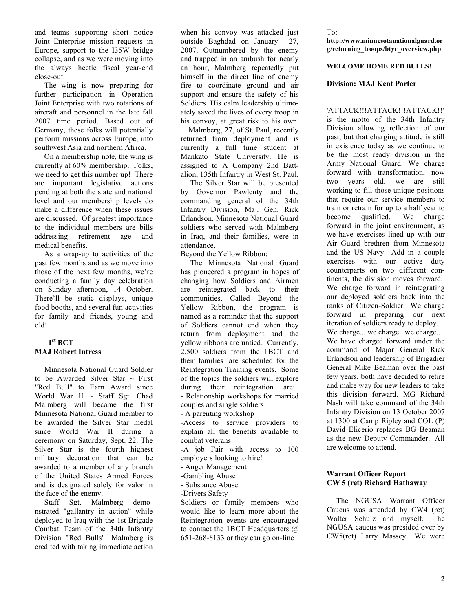and teams supporting short notice Joint Enterprise mission requests in Europe, support to the I35W bridge collapse, and as we were moving into the always hectic fiscal year-end close-out.

The wing is now preparing for further participation in Operation Joint Enterprise with two rotations of aircraft and personnel in the late fall 2007 time period. Based out of Germany, these folks will potentially perform missions across Europe, into southwest Asia and northern Africa.

On a membership note, the wing is currently at 60% membership. Folks, we need to get this number up! There are important legislative actions pending at both the state and national level and our membership levels do make a difference when these issues are discussed. Of greatest importance to the individual members are bills addressing retirement age and medical benefits.

As a wrap-up to activities of the past few months and as we move into those of the next few months, we're conducting a family day celebration on Sunday afternoon, 14 October. There'll be static displays, unique food booths, and several fun activities for family and friends, young and old!

# **1st BCT MAJ Robert Intress**

Minnesota National Guard Soldier to be Awarded Silver Star  $\sim$  First "Red Bull" to Earn Award since World War II  $\sim$  Staff Sgt. Chad Malmberg will became the first Minnesota National Guard member to be awarded the Silver Star medal since World War II during a ceremony on Saturday, Sept. 22. The Silver Star is the fourth highest military decoration that can be awarded to a member of any branch of the United States Armed Forces and is designated solely for valor in the face of the enemy.

Staff Sgt. Malmberg demonstrated "gallantry in action" while deployed to Iraq with the 1st Brigade Combat Team of the 34th Infantry Division "Red Bulls". Malmberg is credited with taking immediate action

when his convoy was attacked just outside Baghdad on January 27, 2007. Outnumbered by the enemy and trapped in an ambush for nearly an hour, Malmberg repeatedly put himself in the direct line of enemy fire to coordinate ground and air support and ensure the safety of his Soldiers. His calm leadership ultimoately saved the lives of every troop in his convoy, at great risk to his own.

Malmberg, 27, of St. Paul, recently returned from deployment and is currently a full time student at Mankato State University. He is assigned to A Company 2nd Battalion, 135th Infantry in West St. Paul.

The Silver Star will be presented by Governor Pawlenty and the commanding general of the 34th Infantry Division, Maj. Gen. Rick Erlandson. Minnesota National Guard soldiers who served with Malmberg in Iraq, and their families, were in attendance.

Beyond the Yellow Ribbon:

The Minnesota National Guard has pioneered a program in hopes of changing how Soldiers and Airmen are reintegrated back to their communities. Called Beyond the Yellow Ribbon, the program is named as a reminder that the support of Soldiers cannot end when they return from deployment and the yellow ribbons are untied. Currently, 2,500 soldiers from the 1BCT and their families are scheduled for the Reintegration Training events. Some of the topics the soldiers will explore during their reintegration are: - Relationship workshops for married couples and single soldiers - A parenting workshop -Access to service providers to explain all the benefits available to combat veterans -A job Fair with access to 100 employers looking to hire! - Anger Management -Gambling Abuse - Substance Abuse -Drivers Safety Soldiers or family members who

would like to learn more about the Reintegration events are encouraged to contact the 1BCT Headquarters @ 651-268-8133 or they can go on-line

To: **http://www.minnesotanationalguard.or g/returning\_troops/btyr\_overview.php**

# **WELCOME HOME RED BULLS!**

# **Division: MAJ Kent Porter**

'ATTACK!!!ATTACK!!!ATTACK!!' is the motto of the 34th Infantry Division allowing reflection of our past, but that charging attitude is still in existence today as we continue to be the most ready division in the Army National Guard. We charge forward with transformation, now two years old, we are still working to fill those unique positions that require our service members to train or retrain for up to a half year to become qualified. We charge forward in the joint environment, as we have exercises lined up with our Air Guard brethren from Minnesota and the US Navy. Add in a couple exercises with our active duty counterparts on two different continents, the division moves forward. We charge forward in reintegrating our deployed soldiers back into the ranks of Citizen-Soldier. We charge forward in preparing our next iteration of soldiers ready to deploy. We charge... we charge...we charge... We have charged forward under the command of Major General Rick Erlandson and leadership of Brigadier General Mike Beaman over the past few years, both have decided to retire and make way for new leaders to take this division forward. MG Richard Nash will take command of the 34th Infantry Division on 13 October 2007 at 1300 at Camp Ripley and COL (P) David Elicerio replaces BG Beaman as the new Deputy Commander. All are welcome to attend.

# **Warrant Officer Report CW 5 (ret) Richard Hathaway**

The NGUSA Warrant Officer Caucus was attended by CW4 (ret) Walter Schulz and myself. The NGUSA caucus was presided over by CW5(ret) Larry Massey. We were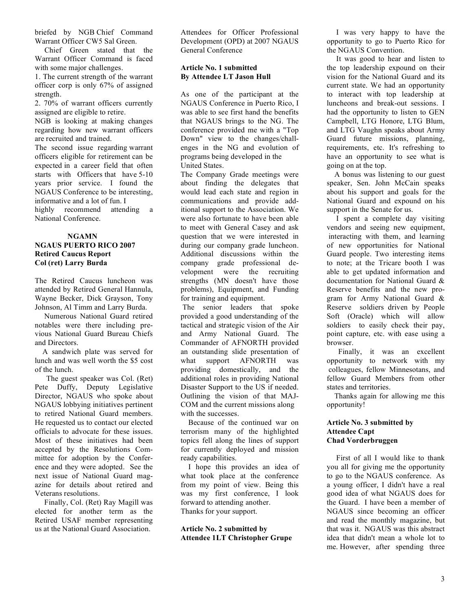briefed by NGB Chief Command Warrant Officer CW5 Sal Green.

Chief Green stated that the Warrant Officer Command is faced with some major challenges.

1. The current strength of the warrant officer corp is only 67% of assigned strength.

2. 70% of warrant officers currently assigned are eligible to retire.

NGB is looking at making changes regarding how new warrant officers are recruited and trained.

The second issue regarding warrant officers eligible for retirement can be expected in a career field that often starts with Officers that have 5-10 years prior service. I found the NGAUS Conference to be interesting, informative and a lot of fun. I highly recommend attending a National Conference.

# **NGAMN NGAUS PUERTO RICO 2007 Retired Caucus Report Col (ret) Larry Burda**

The Retired Caucus luncheon was attended by Retired General Hannula, Wayne Becker, Dick Grayson, Tony Johnson, Al Timm and Larry Burda.

Numerous National Guard retired notables were there including previous National Guard Bureau Chiefs and Directors.

A sandwich plate was served for lunch and was well worth the \$5 cost of the lunch.

The guest speaker was Col. (Ret) Pete Duffy, Deputy Legislative Director, NGAUS who spoke about NGAUS lobbying initiatives pertinent to retired National Guard members. He requested us to contact our elected officials to advocate for these issues. Most of these initiatives had been accepted by the Resolutions Committee for adoption by the Conference and they were adopted. See the next issue of National Guard magazine for details about retired and Veterans resolutions.

Finally, Col. (Ret) Ray Magill was elected for another term as the Retired USAF member representing us at the National Guard Association.

Attendees for Officer Professional Development (OPD) at 2007 NGAUS General Conference

# **Article No. 1 submitted By Attendee LT Jason Hull**

As one of the participant at the NGAUS Conference in Puerto Rico, I was able to see first hand the benefits that NGAUS brings to the NG. The conference provided me with a "Top Down" view to the changes/challenges in the NG and evolution of programs being developed in the United States.

The Company Grade meetings were about finding the delegates that would lead each state and region in communications and provide additional support to the Association. We were also fortunate to have been able to meet with General Casey and ask question that we were interested in during our company grade luncheon. Additional discussions within the company grade professional development were the recruiting strengths (MN doesn't have those problems), Equipment, and Funding for training and equipment.

The senior leaders that spoke provided a good understanding of the tactical and strategic vision of the Air and Army National Guard. The Commander of AFNORTH provided an outstanding slide presentation of what support AFNORTH was providing domestically, and the additional roles in providing National Disaster Support to the US if needed. Outlining the vision of that MAJ-COM and the current missions along with the successes.

Because of the continued war on terrorism many of the highlighted topics fell along the lines of support for currently deployed and mission ready capabilities.

I hope this provides an idea of what took place at the conference from my point of view. Being this was my first conference, I look forward to attending another. Thanks for your support.

**Article No. 2 submitted by Attendee 1LT Christopher Grupe**

I was very happy to have the opportunity to go to Puerto Rico for the NGAUS Convention.

It was good to hear and listen to the top leadership expound on their vision for the National Guard and its current state. We had an opportunity to interact with top leadership at luncheons and break-out sessions. I had the opportunity to listen to GEN Campbell, LTG Honore, LTG Blum, and LTG Vaughn speaks about Army Guard future missions, planning, requirements, etc. It's refreshing to have an opportunity to see what is going on at the top.

A bonus was listening to our guest speaker, Sen. John McCain speaks about his support and goals for the National Guard and expound on his support in the Senate for us.

I spent a complete day visiting vendors and seeing new equipment, interacting with them, and learning of new opportunities for National Guard people. Two interesting items to note; at the Tricare booth I was able to get updated information and documentation for National Guard & Reserve benefits and the new program for Army National Guard & Reserve soldiers driven by People Soft (Oracle) which will allow soldiers to easily check their pay, point capture, etc. with ease using a browser.

Finally, it was an excellent opportunity to network with my colleagues, fellow Minnesotans, and fellow Guard Members from other states and territories.

Thanks again for allowing me this opportunity!

# **Article No. 3 submitted by Attendee Capt Chad Vorderbruggen**

First of all I would like to thank you all for giving me the opportunity to go to the NGAUS conference. As a young officer, I didn't have a real good idea of what NGAUS does for the Guard. I have been a member of NGAUS since becoming an officer and read the monthly magazine, but that was it. NGAUS was this abstract idea that didn't mean a whole lot to me. However, after spending three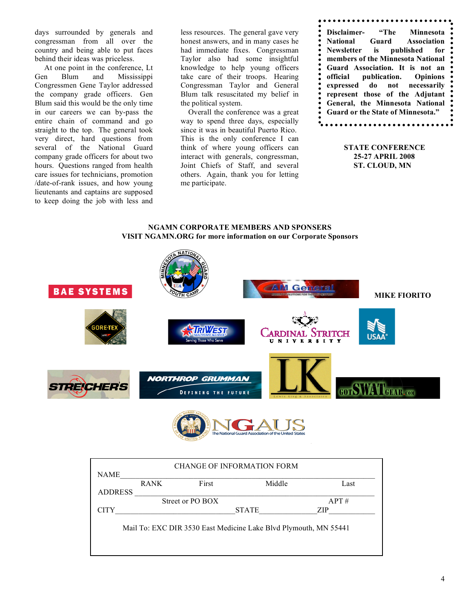days surrounded by generals and congressman from all over the country and being able to put faces behind their ideas was priceless.

At one point in the conference, Lt Gen Blum and Mississippi Congressmen Gene Taylor addressed the company grade officers. Gen Blum said this would be the only time in our careers we can by-pass the entire chain of command and go straight to the top. The general took very direct, hard questions from several of the National Guard company grade officers for about two hours. Questions ranged from health care issues for technicians, promotion /date-of-rank issues, and how young lieutenants and captains are supposed to keep doing the job with less and

less resources. The general gave very honest answers, and in many cases he had immediate fixes. Congressman Taylor also had some insightful knowledge to help young officers take care of their troops. Hearing Congressman Taylor and General Blum talk resuscitated my belief in the political system.

Overall the conference was a great way to spend three days, especially since it was in beautiful Puerto Rico. This is the only conference I can think of where young officers can interact with generals, congressman, Joint Chiefs of Staff, and several others. Again, thank you for letting me participate.

| National Guard Association<br>Newsletter is published for<br>members of the Minnesota National<br>Guard Association. It is not an |
|-----------------------------------------------------------------------------------------------------------------------------------|
|                                                                                                                                   |
|                                                                                                                                   |
|                                                                                                                                   |
|                                                                                                                                   |
| official publication. Opinions                                                                                                    |
| expressed do not necessarily                                                                                                      |
| represent those of the Adjutant                                                                                                   |
| General, the Minnesota National                                                                                                   |
| Guard or the State of Minnesota."                                                                                                 |
|                                                                                                                                   |

**STATE CONFERENCE 25-27 APRIL 2008 ST. CLOUD, MN**

# **NGAMN CORPORATE MEMBERS AND SPONSERS VISIT NGAMN.ORG for more information on our Corporate Sponsors**





| <b>CHANGE OF INFORMATION FORM</b> |             |                  |                                                                  |      |  |  |
|-----------------------------------|-------------|------------------|------------------------------------------------------------------|------|--|--|
| <b>NAME</b>                       |             |                  |                                                                  |      |  |  |
|                                   | <b>RANK</b> | First            | Middle                                                           | Last |  |  |
| <b>ADDRESS</b>                    |             |                  |                                                                  |      |  |  |
|                                   |             | Street or PO BOX |                                                                  | APT# |  |  |
| <b>CITY</b>                       |             |                  | <b>STATE</b>                                                     | ZIP  |  |  |
|                                   |             |                  | Mail To: EXC DIR 3530 East Medicine Lake Blvd Plymouth, MN 55441 |      |  |  |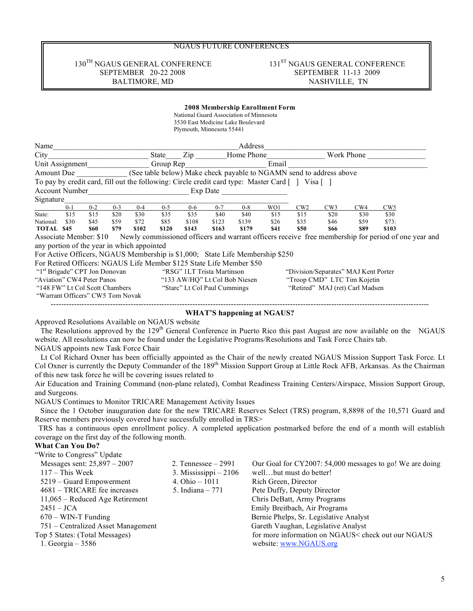# NGAUS FUTURE CONFERENCES

# SEPTEMBER 20-22 2008

# $130^\text{TH}$ NGAUS GENERAL CONFERENCE SEPTEMBER 20-22 2008 SEPTEMBER 11-13 2009 BALTIMORE, MD NASHVILLE, TN

### **2008 Membership Enrollment Form**

National Guard Association of Minnesota 3530 East Medicine Lake Boulevard

|                        |            |         |         |         |           | Plymouth, Minnesota 55441 |          |            |                                                                                                |             |                                                                     |            |                                                                                                   |  |
|------------------------|------------|---------|---------|---------|-----------|---------------------------|----------|------------|------------------------------------------------------------------------------------------------|-------------|---------------------------------------------------------------------|------------|---------------------------------------------------------------------------------------------------|--|
| Name                   |            |         |         |         |           |                           |          | Address    |                                                                                                |             |                                                                     |            |                                                                                                   |  |
| City                   |            |         |         |         | State     | Zip                       |          | Home Phone |                                                                                                |             |                                                                     | Work Phone |                                                                                                   |  |
| Unit Assignment        |            |         |         |         | Group Rep |                           |          |            | Email                                                                                          |             |                                                                     |            |                                                                                                   |  |
| Amount Due             |            |         |         |         |           |                           |          |            |                                                                                                |             | (See table below) Make check payable to NGAMN send to address above |            |                                                                                                   |  |
|                        |            |         |         |         |           |                           |          |            | To pay by credit card, fill out the following: Circle credit card type: Master Card [] Visa [] |             |                                                                     |            |                                                                                                   |  |
| <b>Account Number</b>  |            |         |         |         |           |                           | Exp Date |            |                                                                                                |             |                                                                     |            |                                                                                                   |  |
| Signature              |            |         |         |         |           |                           |          |            |                                                                                                |             |                                                                     |            |                                                                                                   |  |
|                        | $0 - 1$    | $0 - 2$ | $0 - 3$ | $0 - 4$ | $0 - 5$   | $0 - 6$                   | $0 - 7$  | $0 - 8$    | WO1                                                                                            | CW2         | CW3                                                                 | CW4        | CW <sub>5</sub>                                                                                   |  |
| State:                 | \$15       | \$15    | \$20    | \$30    | \$35      | \$35                      | \$40     | \$40       | \$15                                                                                           | \$15        | \$20                                                                | \$30       | \$30                                                                                              |  |
| National:              | \$30       | \$45    | \$59    | \$72    | \$85      | \$108                     | \$123    | \$139      | \$26                                                                                           | \$35        | \$46                                                                | \$59       | \$73:                                                                                             |  |
| TOTAL                  | <b>S45</b> | \$60    | \$79    | \$102   | \$120     | \$143                     | \$163    | \$179      | \$41                                                                                           | <b>\$50</b> | <b>S66</b>                                                          | \$89       | \$103                                                                                             |  |
| Accoriate Member: \$10 |            |         |         |         |           |                           |          |            |                                                                                                |             |                                                                     |            | Newly commissioned officers and warrant officers receive free membership for period of one year a |  |

Associate Member: \$10 Newly commissioned officers and warrant officers receive free membership for period of one year and any portion of the year in which appointed

For Active Officers, NGAUS Membership is \$1,000; State Life Membership \$250

For Retired Officers: NGAUS Life Member \$125 State Life Member \$50

| "1 <sup>st</sup> Brigade" CPT Jon Donovan | "RSG" 1LT Trista Martinson    | "Division/Separates" MAJ Kent Porter |
|-------------------------------------------|-------------------------------|--------------------------------------|
| "Aviation" CW4 Peter Panos                | "133 AW/HO" Lt Col Bob Niesen | "Troop CMD" LTC Tim Kojetin          |
| "148 FW" Lt Col Scott Chambers            | "Starc" Lt Col Paul Cummings  | "Retired" MAJ (ret) Carl Madsen      |
| "Warrant Officers" CW5 Tom Novak          |                               |                                      |

### --------------------------------------------------------------------------------------------------------------------------------------------------- **WHAT'S happening at NGAUS?**

Approved Resolutions Available on NGAUS website

The Resolutions approved by the 129<sup>th</sup> General Conference in Puerto Rico this past August are now available on the NGAUS website. All resolutions can now be found under the Legislative Programs/Resolutions and Task Force Chairs tab. NGAUS appoints new Task Force Chair

Lt Col Richard Oxner has been officially appointed as the Chair of the newly created NGAUS Mission Support Task Force. Lt Col Oxner is currently the Deputy Commander of the 189<sup>th</sup> Mission Support Group at Little Rock AFB, Arkansas. As the Chairman of this new task force he will be covering issues related to

Air Education and Training Command (non-plane related), Combat Readiness Training Centers/Airspace, Mission Support Group, and Surgeons.

NGAUS Continues to Monitor TRICARE Management Activity Issues

Since the 1 October inauguration date for the new TRICARE Reserves Select (TRS) program, 8,8898 of the 10,571 Guard and Reserve members previously covered have successfully enrolled in TRS>

TRS has a continuous open enrollment policy. A completed application postmarked before the end of a month will establish coverage on the first day of the following month.

### **What Can You Do?**  $W$  $\ddot{U}$

| write to Congress Update           |                        |                                                          |
|------------------------------------|------------------------|----------------------------------------------------------|
| Messages sent: $25,897 - 2007$     | 2. Tennessee $-2991$   | Our Goal for CY2007: 54,000 messages to go! We are doing |
| $117 -$ This Week                  | 3. Mississippi $-2106$ | wellbut must do better!                                  |
| 5219 – Guard Empowerment           | 4. Ohio $-1011$        | Rich Green, Director                                     |
| 4681 – TRICARE fee increases       | 5. Indiana $-771$      | Pete Duffy, Deputy Director                              |
| 11,065 – Reduced Age Retirement    |                        | Chris DeBatt, Army Programs                              |
| $2451 - JCA$                       |                        | Emily Breitbach, Air Programs                            |
| $670 - WIN-T$ Funding              |                        | Bernie Phelps, Sr. Legislative Analyst                   |
| 751 – Centralized Asset Management |                        | Gareth Vaughan, Legislative Analyst                      |
| Top 5 States: (Total Messages)     |                        | for more information on NGAUS< check out our NGAUS       |
| 1. Georgia – $3586$                |                        | website: www.NGAUS.org                                   |
|                                    |                        |                                                          |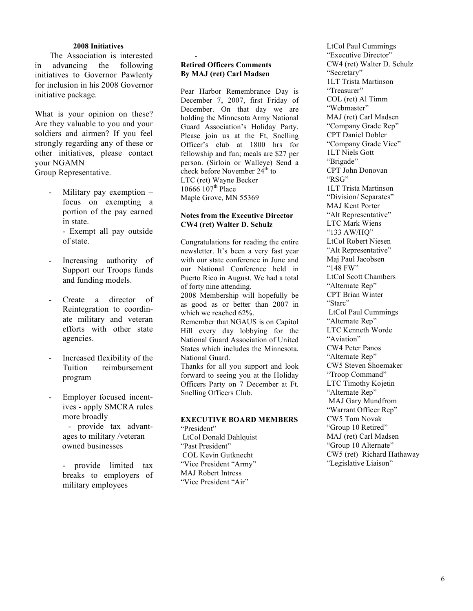# **2008 Initiatives**

The Association is interested in advancing the following initiatives to Governor Pawlenty for inclusion in his 2008 Governor initiative package.

What is your opinion on these? Are they valuable to you and your soldiers and airmen? If you feel strongly regarding any of these or other initiatives, please contact your NGAMN

Group Representative.

Military pay exemption – focus on exempting a portion of the pay earned in state.

> - Exempt all pay outside of state.

- Increasing authority of Support our Troops funds and funding models.
- Create a director of Reintegration to coordinate military and veteran efforts with other state agencies.
- Increased flexibility of the Tuition reimbursement program
- Employer focused incentives - apply SMCRA rules more broadly

- provide tax advantages to military /veteran owned businesses

- provide limited tax breaks to employers of military employees

# **Retired Officers Comments By MAJ (ret) Carl Madsen**

-

Pear Harbor Remembrance Day is December 7, 2007, first Friday of December. On that day we are holding the Minnesota Army National Guard Association's Holiday Party. Please join us at the Ft, Snelling Officer's club at 1800 hrs for fellowship and fun; meals are \$27 per person. (Sirloin or Walleye) Send a check before November  $24<sup>th</sup>$  to LTC (ret) Wayne Becker 10666 107<sup>th</sup> Place Maple Grove, MN 55369

# **Notes from the Executive Director CW4 (ret) Walter D. Schulz**

Congratulations for reading the entire newsletter. It's been a very fast year with our state conference in June and our National Conference held in Puerto Rico in August. We had a total of forty nine attending. 2008 Membership will hopefully be as good as or better than 2007 in which we reached 62%. Remember that NGAUS is on Capitol Hill every day lobbying for the National Guard Association of United States which includes the Minnesota. National Guard. Thanks for all you support and look forward to seeing you at the Holiday Officers Party on 7 December at Ft. Snelling Officers Club.

### **EXECUTIVE BOARD MEMBERS** "President"

LtCol Donald Dahlquist "Past President" COL Kevin Gutknecht "Vice President "Army" MAJ Robert Intress "Vice President "Air"

LtCol Paul Cummings "Executive Director" CW4 (ret) Walter D. Schulz "Secretary" 1LT Trista Martinson "Treasurer" COL (ret) Al Timm "Webmaster" MAJ (ret) Carl Madsen "Company Grade Rep" CPT Daniel Dobler "Company Grade Vice" 1LT Niels Gott "Brigade" CPT John Donovan "RSG" 1LT Trista Martinson "Division/ Separates" MAJ Kent Porter "Alt Representative" LTC Mark Wiens "133 AW/HQ" LtCol Robert Niesen "Alt Representative" Maj Paul Jacobsen "148 FW" LtCol Scott Chambers "Alternate Rep" CPT Brian Winter "Starc" LtCol Paul Cummings "Alternate Rep" LTC Kenneth Worde "Aviation" CW4 Peter Panos "Alternate Rep" CW5 Steven Shoemaker "Troop Command" LTC Timothy Kojetin "Alternate Rep" MAJ Gary Mundfrom "Warrant Officer Rep" CW5 Tom Novak "Group 10 Retired" MAJ (ret) Carl Madsen "Group 10 Alternate" CW5 (ret) Richard Hathaway "Legislative Liaison"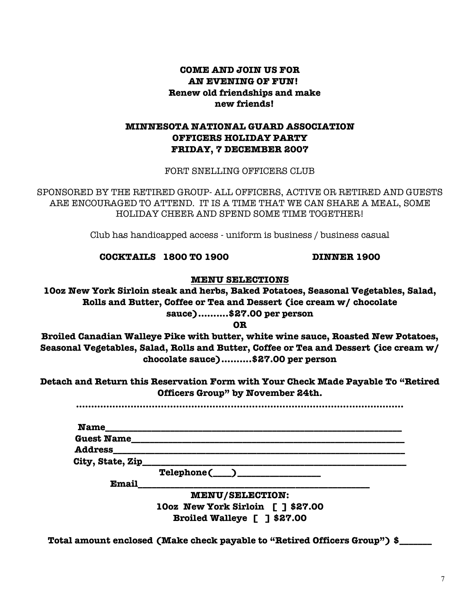# **COME AND JOIN US FOR AN EVENING OF FUN! Renew old friendships and make new friends!**

# **MINNESOTA NATIONAL GUARD ASSOCIATION OFFICERS HOLIDAY PARTY FRIDAY, 7 DECEMBER 2007**

FORT SNELLING OFFICERS CLUB

SPONSORED BY THE RETIRED GROUP- ALL OFFICERS, ACTIVE OR RETIRED AND GUESTS ARE ENCOURAGED TO ATTEND. IT IS A TIME THAT WE CAN SHARE A MEAL, SOME HOLIDAY CHEER AND SPEND SOME TIME TOGETHER!

Club has handicapped access - uniform is business / business casual

**COCKTAILS 1800 TO 1900 DINNER 1900**

**MENU SELECTIONS**

**10oz New York Sirloin steak and herbs, Baked Potatoes, Seasonal Vegetables, Salad, Rolls and Butter, Coffee or Tea and Dessert (ice cream w/ chocolate sauce)……....\$27.00 per person**

**OR**

**Broiled Canadian Walleye Pike with butter, white wine sauce, Roasted New Potatoes, Seasonal Vegetables, Salad, Rolls and Butter, Coffee or Tea and Dessert (ice cream w/ chocolate sauce)……....\$27.00 per person**

**Detach and Return this Reservation Form with Your Check Made Payable To "Retired Officers Group" by November 24th.**

**………………………………………………………………………………………………**

| <b>Name</b>       |                                                                                                                       |  |
|-------------------|-----------------------------------------------------------------------------------------------------------------------|--|
| <b>Guest Name</b> |                                                                                                                       |  |
| <b>Address</b>    |                                                                                                                       |  |
| City, State, Zip  | <u> 1989 - Johann John Stone, markin sanadi ya kutoka mwaka wa 1989 - Amerika mwaka wa 1989 - Amerika mwaka wa 19</u> |  |
|                   | $\text{Telephone}(\_\_\_\_\_\_\_\_$                                                                                   |  |
| Email             |                                                                                                                       |  |
|                   | <b>MENU/SELECTION:</b>                                                                                                |  |
|                   | 100z New York Sirloin [ ] \$27.00                                                                                     |  |
|                   | Broiled Walleye [ ] \$27.00                                                                                           |  |

**Total amount enclosed (Make check payable to "Retired Officers Group") \$\_\_\_\_\_\_\_**